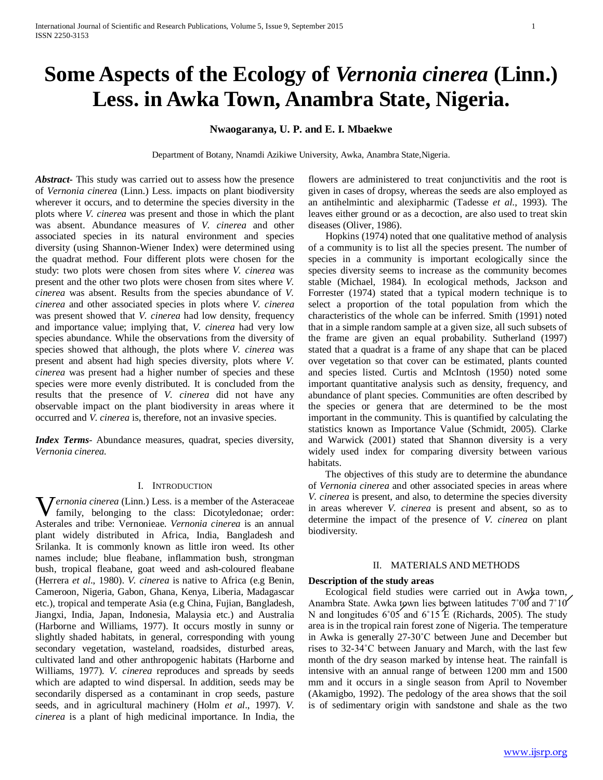# **Some Aspects of the Ecology of** *Vernonia cinerea* **(Linn.) Less. in Awka Town, Anambra State, Nigeria.**

# **Nwaogaranya, U. P. and E. I. Mbaekwe**

Department of Botany, Nnamdi Azikiwe University, Awka, Anambra State,Nigeria.

*Abstract***-** This study was carried out to assess how the presence of *Vernonia cinerea* (Linn.) Less. impacts on plant biodiversity wherever it occurs, and to determine the species diversity in the plots where *V. cinerea* was present and those in which the plant was absent. Abundance measures of *V. cinerea* and other associated species in its natural environment and species diversity (using Shannon-Wiener Index) were determined using the quadrat method. Four different plots were chosen for the study: two plots were chosen from sites where *V. cinerea* was present and the other two plots were chosen from sites where *V. cinerea* was absent. Results from the species abundance of *V. cinerea* and other associated species in plots where *V. cinerea* was present showed that *V. cinerea* had low density, frequency and importance value; implying that, *V. cinerea* had very low species abundance. While the observations from the diversity of species showed that although, the plots where *V. cinerea* was present and absent had high species diversity, plots where *V. cinerea* was present had a higher number of species and these species were more evenly distributed. It is concluded from the results that the presence of *V. cinerea* did not have any observable impact on the plant biodiversity in areas where it occurred and *V. cinerea* is, therefore, not an invasive species.

*Index Terms*- Abundance measures, quadrat, species diversity, *Vernonia cinerea.* 

#### I. INTRODUCTION

**W** ernonia cinerea (Linn.) Less. is a member of the Asteraceae family, belonging to the class: Dicotyledonae; order: family, belonging to the class: Dicotyledonae; order: Asterales and tribe: Vernonieae. *Vernonia cinerea* is an annual plant widely distributed in Africa, India, Bangladesh and Srilanka. It is commonly known as little iron weed. Its other names include; blue fleabane, inflammation bush, strongman bush, tropical fleabane, goat weed and ash-coloured fleabane (Herrera *et al*., 1980). *V. cinerea* is native to Africa (e.g Benin, Cameroon, Nigeria, Gabon, Ghana, Kenya, Liberia, Madagascar etc.), tropical and temperate Asia (e.g China, Fujian, Bangladesh, Jiangxi, India, Japan, Indonesia, Malaysia etc.) and Australia (Harborne and Williams, 1977). It occurs mostly in sunny or slightly shaded habitats, in general, corresponding with young secondary vegetation, wasteland, roadsides, disturbed areas, cultivated land and other anthropogenic habitats (Harborne and Williams, 1977). *V. cinerea* reproduces and spreads by seeds which are adapted to wind dispersal. In addition, seeds may be secondarily dispersed as a contaminant in crop seeds, pasture seeds, and in agricultural machinery (Holm *et al*., 1997). *V. cinerea* is a plant of high medicinal importance. In India, the

flowers are administered to treat conjunctivitis and the root is given in cases of dropsy, whereas the seeds are also employed as an antihelmintic and alexipharmic (Tadesse *et al*., 1993). The leaves either ground or as a decoction, are also used to treat skin diseases (Oliver, 1986).

 Hopkins (1974) noted that one qualitative method of analysis of a community is to list all the species present. The number of species in a community is important ecologically since the species diversity seems to increase as the community becomes stable (Michael, 1984). In ecological methods, Jackson and Forrester (1974) stated that a typical modern technique is to select a proportion of the total population from which the characteristics of the whole can be inferred. Smith (1991) noted that in a simple random sample at a given size, all such subsets of the frame are given an equal probability. Sutherland (1997) stated that a quadrat is a frame of any shape that can be placed over vegetation so that cover can be estimated, plants counted and species listed. Curtis and McIntosh (1950) noted some important quantitative analysis such as density, frequency, and abundance of plant species. Communities are often described by the species or genera that are determined to be the most important in the community. This is quantified by calculating the statistics known as Importance Value (Schmidt, 2005). Clarke and Warwick (2001) stated that Shannon diversity is a very widely used index for comparing diversity between various habitats.

 The objectives of this study are to determine the abundance of *Vernonia cinerea* and other associated species in areas where *V. cinerea* is present, and also, to determine the species diversity in areas wherever *V. cinerea* is present and absent, so as to determine the impact of the presence of *V. cinerea* on plant biodiversity.

# II. MATERIALS AND METHODS

## **Description of the study areas**

 Ecological field studies were carried out in Awka town, Anambra State. Awka town lies between latitudes  $7°00$  and  $7°10'$ N and longitudes 6°05<sup>'</sup> and 6°15<sup>'</sup> E (Richards, 2005). The study area is in the tropical rain forest zone of Nigeria. The temperature in Awka is generally 27-30˚C between June and December but rises to 32-34˚C between January and March, with the last few month of the dry season marked by intense heat. The rainfall is intensive with an annual range of between 1200 mm and 1500 mm and it occurs in a single season from April to November (Akamigbo, 1992). The pedology of the area shows that the soil is of sedimentary origin with sandstone and shale as the two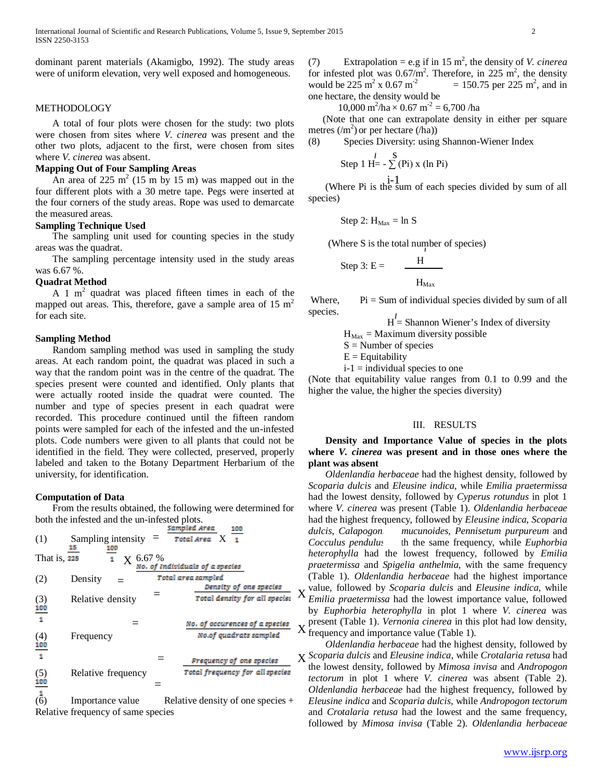dominant parent materials (Akamigbo, 1992). The study areas were of uniform elevation, very well exposed and homogeneous.

#### METHODOLOGY

 A total of four plots were chosen for the study: two plots were chosen from sites where *V. cinerea* was present and the other two plots, adjacent to the first, were chosen from sites where *V. cinerea* was absent.

# **Mapping Out of Four Sampling Areas**

An area of 225 m<sup>2</sup> (15 m by 15 m) was mapped out in the four different plots with a 30 metre tape. Pegs were inserted at the four corners of the study areas. Rope was used to demarcate the measured areas.

#### **Sampling Technique Used**

 The sampling unit used for counting species in the study areas was the quadrat.

 The sampling percentage intensity used in the study areas was 6.67 %.

## **Quadrat Method**

A 1  $m<sup>2</sup>$  quadrat was placed fifteen times in each of the mapped out areas. This, therefore, gave a sample area of  $15 \text{ m}^2$ for each site.

#### **Sampling Method**

 Random sampling method was used in sampling the study areas. At each random point, the quadrat was placed in such a way that the random point was in the centre of the quadrat. The species present were counted and identified. Only plants that were actually rooted inside the quadrat were counted. The number and type of species present in each quadrat were recorded. This procedure continued until the fifteen random points were sampled for each of the infested and the un-infested plots. Code numbers were given to all plants that could not be identified in the field. They were collected, preserved, properly labeled and taken to the Botany Department Herbarium of the university, for identification.

#### **Computation of Data**

 From the results obtained, the following were determined for both the infested and the un-infested plots.

(1) Sampling intensity 
$$
=
$$
  $\frac{\text{Sampleed Area}}{\text{Total Area}} \times \frac{100}{1}$   
\nThat is,  $\frac{15}{225}$   $\frac{100}{1}$  X 6.67 %  
\n(2) Density  $=$  Total area sampled  
\nRelative density  $=$  Total area sampled  
\nTotal density of one species  
\n(3) Relative density  $=$  Total density of one species  
\nTotal density for all species  
\n(4) Frequency  
\n $=$  No. of occurrences of a species  
\nNo of quadrats sampled  
\n(5) Relative frequency  
\n=  $\frac{\text{Frequency of no species}}{\text{Total frequency of one species}} \times$   
\n(6) Calculate frequency =

(6) Importance value Relative density of one species  $+$ Relative frequency of same species

(7) Extrapolation = e.g if in 15 m<sup>2</sup>, the density of *V. cinerea* for infested plot was  $0.67/m^2$ . Therefore, in 225 m<sup>2</sup>, the density would be 225  $\rm m^2$  x 0.67  $\rm m^2$  $= 150.75$  per 225 m<sup>2</sup>, and in one hectare, the density would be

 $10,000 \text{ m}^2/\text{ha} \times 0.67 \text{ m}^2 = 6,700 \text{ /ha}$ 

 (Note that one can extrapolate density in either per square metres  $(m^2)$  or per hectare  $(ha)$ )

(8) Species Diversity: using Shannon-Wiener Index

Step 1 H=
$$
-\sum^{1}
$$
 (Pi) x (ln Pi)

i-1 (Where Pi is the sum of each species divided by sum of all species)

Step 2: 
$$
H_{\text{Max}} = \ln S
$$

(Where S is the total number of species)

Step 3: 
$$
E =
$$
  $\frac{H}{H_{\text{Max}}}$ 

Where,  $Pi = Sum of individual species divided by sum of all$ species.

 $H =$  Shannon Wiener's Index of diversity

 $H_{\text{Max}} =$  Maximum diversity possible

 $S =$  Number of species

 $E =$  Equitability

 $i-1$  = individual species to one

(Note that equitability value ranges from 0.1 to 0.99 and the higher the value, the higher the species diversity)

#### III. RESULTS

 **Density and Importance Value of species in the plots where** *V. cinerea* **was present and in those ones where the plant was absent**

 *Oldenlandia herbaceae* had the highest density, followed by *Scoparia dulcis* and *Eleusine indica*, while *Emilia praetermissa* had the lowest density, followed by *Cyperus rotundus* in plot 1 where *V. cinerea* was present (Table 1). *Oldenlandia herbaceae* had the highest frequency, followed by *Eleusine indica*, *Scoparia dulcis*, *Calapogonium mucunoides*, *Pennisetum purpureum* and *Cocculus pendulus* th the same frequency, while *Euphorbia heterophylla* had the lowest frequency, followed by *Emilia praetermissa* and *Spigelia anthelmia*, with the same frequency (Table 1). *Oldenlandia herbaceae* had the highest importance value, followed by *Scoparia dulcis* and *Eleusine indica*, while *Emilia praetermissa* had the lowest importance value, followed by *Euphorbia heterophylla* in plot 1 where *V. cinerea* was present (Table 1). *Vernonia cinerea* in this plot had low density,  $X$  frequency and importance value (Table 1).

 *Oldenlandia herbaceae* had the highest density, followed by *Scoparia dulcis* and *Eleusine indica*, while *Crotalaria retusa* had the lowest density, followed by *Mimosa invisa* and *Andropogon tectorum* in plot 1 where *V. cinerea* was absent (Table 2). *Oldenlandia herbaceae* had the highest frequency, followed by *Eleusine indica* and *Scoparia dulcis*, while *Andropogon tectorum* and *Crotalaria retusa* had the lowest and the same frequency, followed by *Mimosa invisa* (Table 2). *Oldenlandia herbaceae*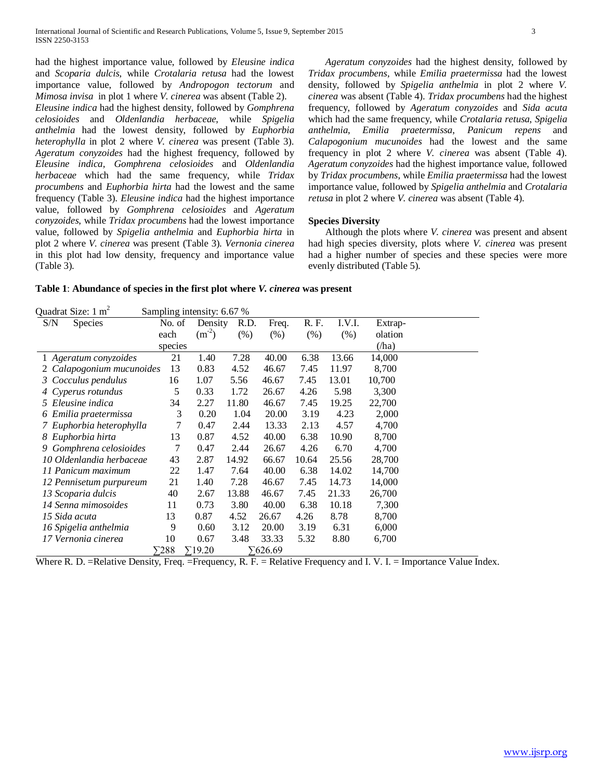had the highest importance value, followed by *Eleusine indica* and *Scoparia dulcis*, while *Crotalaria retusa* had the lowest importance value, followed by *Andropogon tectorum* and *Mimosa invisa* in plot 1 where *V. cinerea* was absent (Table 2). *Eleusine indica* had the highest density, followed by *Gomphrena celosioides* and *Oldenlandia herbaceae*, while *Spigelia anthelmia* had the lowest density, followed by *Euphorbia heterophylla* in plot 2 where *V. cinerea* was present (Table 3). *Ageratum conyzoides* had the highest frequency, followed by *Eleusine indica, Gomphrena celosioides* and *Oldenlandia herbaceae* which had the same frequency, while *Tridax procumbens* and *Euphorbia hirta* had the lowest and the same frequency (Table 3). *Eleusine indica* had the highest importance value, followed by *Gomphrena celosioides* and *Ageratum conyzoides*, while *Tridax procumbens* had the lowest importance value, followed by *Spigelia anthelmia* and *Euphorbia hirta* in plot 2 where *V. cinerea* was present (Table 3). *Vernonia cinerea* in this plot had low density, frequency and importance value (Table 3).

 *Ageratum conyzoides* had the highest density, followed by *Tridax procumbens*, while *Emilia praetermissa* had the lowest density, followed by *Spigelia anthelmia* in plot 2 where *V. cinerea* was absent (Table 4). *Tridax procumbens* had the highest frequency, followed by *Ageratum conyzoides* and *Sida acuta* which had the same frequency, while *Crotalaria retusa*, *Spigelia anthelmia*, *Emilia praetermissa*, *Panicum repens* and *Calapogonium mucunoides* had the lowest and the same frequency in plot 2 where *V. cinerea* was absent (Table 4). *Ageratum conyzoides* had the highest importance value, followed by *Tridax procumbens*, while *Emilia praetermissa* had the lowest importance value, followed by *Spigelia anthelmia* and *Crotalaria retusa* in plot 2 where *V. cinerea* was absent (Table 4).

# **Species Diversity**

 Although the plots where *V. cinerea* was present and absent had high species diversity, plots where *V. cinerea* was present had a higher number of species and these species were more evenly distributed (Table 5).

**Table 1**: **Abundance of species in the first plot where** *V. cinerea* **was present**

| Quadrat Size: $1 \text{ m}^2$<br>Sampling intensity: 6.67 % |              |                |        |         |        |        |         |  |
|-------------------------------------------------------------|--------------|----------------|--------|---------|--------|--------|---------|--|
| S/N<br><b>Species</b>                                       | No. of       | Density        | R.D.   | Freq.   | R. F.  | I.V.I. | Extrap- |  |
|                                                             | each         | $(m^{-2})$     | $(\%)$ | (% )    | $(\%)$ | (% )   | olation |  |
|                                                             | species      |                |        |         |        |        | (ha)    |  |
| 1 Ageratum conyzoides                                       | 21           | 1.40           | 7.28   | 40.00   | 6.38   | 13.66  | 14,000  |  |
| Calapogonium mucunoides                                     | 13           | 0.83           | 4.52   | 46.67   | 7.45   | 11.97  | 8,700   |  |
| 3 Cocculus pendulus                                         | 16           | 1.07           | 5.56   | 46.67   | 7.45   | 13.01  | 10,700  |  |
| 4 Cyperus rotundus                                          | 5            | 0.33           | 1.72   | 26.67   | 4.26   | 5.98   | 3,300   |  |
| 5 Eleusine indica                                           | 34           | 2.27           | 11.80  | 46.67   | 7.45   | 19.25  | 22,700  |  |
| Emilia praetermissa                                         | 3            | 0.20           | 1.04   | 20.00   | 3.19   | 4.23   | 2,000   |  |
| 7 Euphorbia heterophylla                                    | 7            | 0.47           | 2.44   | 13.33   | 2.13   | 4.57   | 4,700   |  |
| 8 Euphorbia hirta                                           | 13           | 0.87           | 4.52   | 40.00   | 6.38   | 10.90  | 8,700   |  |
| 9 Gomphrena celosioides                                     | 7            | 0.47           | 2.44   | 26.67   | 4.26   | 6.70   | 4,700   |  |
| 10 Oldenlandia herbaceae                                    | 43           | 2.87           | 14.92  | 66.67   | 10.64  | 25.56  | 28,700  |  |
| 11 Panicum maximum                                          | 22           | 1.47           | 7.64   | 40.00   | 6.38   | 14.02  | 14,700  |  |
| 12 Pennisetum purpureum                                     | 21           | 1.40           | 7.28   | 46.67   | 7.45   | 14.73  | 14,000  |  |
| 13 Scoparia dulcis                                          | 40           | 2.67           | 13.88  | 46.67   | 7.45   | 21.33  | 26,700  |  |
| 14 Senna mimosoides                                         | 11           | 0.73           | 3.80   | 40.00   | 6.38   | 10.18  | 7,300   |  |
| 15 Sida acuta                                               | 13           | 0.87           | 4.52   | 26.67   | 4.26   | 8.78   | 8,700   |  |
| 16 Spigelia anthelmia                                       | 9            | 0.60           | 3.12   | 20.00   | 3.19   | 6.31   | 6,000   |  |
| 17 Vernonia cinerea                                         | 10           | 0.67           | 3.48   | 33.33   | 5.32   | 8.80   | 6,700   |  |
|                                                             | $\Sigma$ 288 | $\Sigma$ 19.20 |        | ∑626.69 |        |        |         |  |

Where R. D. =Relative Density, Freq. =Frequency, R. F. = Relative Frequency and I. V. I. = Importance Value Index.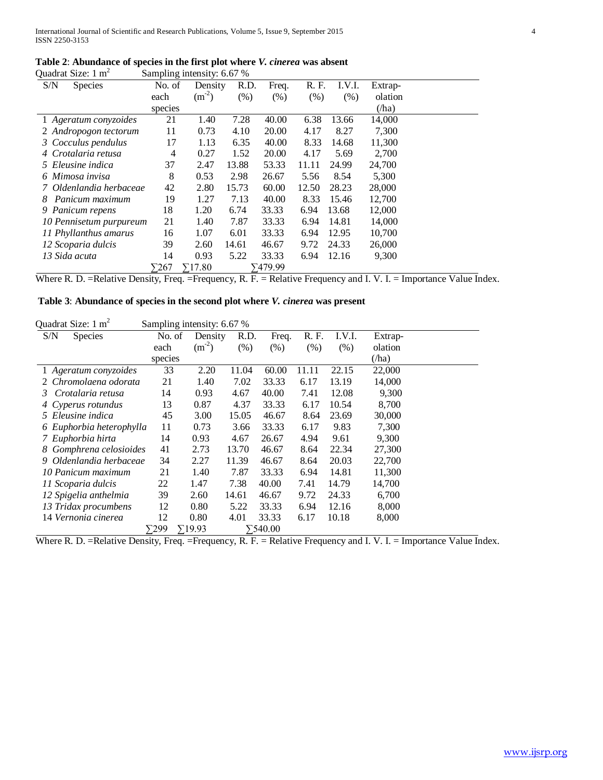|                               | Table 2: Abundance of species in the first plot where <i>V. cinerea</i> was absent |
|-------------------------------|------------------------------------------------------------------------------------|
| Quadrat Size: $1 \text{ m}^2$ | Sampling intensity: 6.67 %                                                         |

| S/N<br><b>Species</b>   | ັ<br>No. of  | Density        | R.D.  | Freq.   | R. F. | I.V.I. | Extrap- |  |
|-------------------------|--------------|----------------|-------|---------|-------|--------|---------|--|
|                         | each         | $(m^{-2})$     | (% )  | $(\%)$  | (% )  | (% )   | olation |  |
|                         | species      |                |       |         |       |        | (ha)    |  |
| 1 Ageratum conyzoides   | 21           | 1.40           | 7.28  | 40.00   | 6.38  | 13.66  | 14,000  |  |
| 2 Andropogon tectorum   | 11           | 0.73           | 4.10  | 20.00   | 4.17  | 8.27   | 7,300   |  |
| 3 Cocculus pendulus     | 17           | 1.13           | 6.35  | 40.00   | 8.33  | 14.68  | 11,300  |  |
| 4 Crotalaria retusa     | 4            | 0.27           | 1.52  | 20.00   | 4.17  | 5.69   | 2,700   |  |
| 5 Eleusine indica       | 37           | 2.47           | 13.88 | 53.33   | 11.11 | 24.99  | 24,700  |  |
| 6 Mimosa invisa         | 8            | 0.53           | 2.98  | 26.67   | 5.56  | 8.54   | 5,300   |  |
| 7 Oldenlandia herbaceae | 42           | 2.80           | 15.73 | 60.00   | 12.50 | 28.23  | 28,000  |  |
| Panicum maximum<br>8    | 19           | 1.27           | 7.13  | 40.00   | 8.33  | 15.46  | 12,700  |  |
| 9 Panicum repens        | 18           | 1.20           | 6.74  | 33.33   | 6.94  | 13.68  | 12,000  |  |
| 10 Pennisetum purpureum | 21           | 1.40           | 7.87  | 33.33   | 6.94  | 14.81  | 14,000  |  |
| 11 Phyllanthus amarus   | 16           | 1.07           | 6.01  | 33.33   | 6.94  | 12.95  | 10,700  |  |
| 12 Scoparia dulcis      | 39           | 2.60           | 14.61 | 46.67   | 9.72  | 24.33  | 26,000  |  |
| 13 Sida acuta           | 14           | 0.93           | 5.22  | 33.33   | 6.94  | 12.16  | 9,300   |  |
|                         | $\Sigma 267$ | $\Sigma$ 17.80 |       | ∑479.99 |       |        |         |  |

Where R. D. =Relative Density, Freq. =Frequency, R. F. = Relative Frequency and I. V. I. = Importance Value Index.

# **Table 3**: **Abundance of species in the second plot where** *V. cinerea* **was present**

Quadrat Size:  $1 \text{ m}^2$  Sampling intensity: 6.67 %

| ╰<br>S/N<br><b>Species</b>  | No. of  | Density        | R.D.  | Freq.           | R. F. | I.V.I. | Extrap- |
|-----------------------------|---------|----------------|-------|-----------------|-------|--------|---------|
|                             | each    | $(m^{-2})$     | (% )  | (% )            | (% )  | (% )   | olation |
|                             | species |                |       |                 |       |        | (ha)    |
| 1 Ageratum conyzoides       | 33      | 2.20           | 11.04 | 60.00           | 11.11 | 22.15  | 22,000  |
| 2 Chromolaena odorata       | 21      | 1.40           | 7.02  | 33.33           | 6.17  | 13.19  | 14,000  |
| Crotalaria retusa<br>3.     | 14      | 0.93           | 4.67  | 40.00           | 7.41  | 12.08  | 9,300   |
| 4 Cyperus rotundus          | 13      | 0.87           | 4.37  | 33.33           | 6.17  | 10.54  | 8,700   |
| 5 Eleusine indica           | 45      | 3.00           | 15.05 | 46.67           | 8.64  | 23.69  | 30,000  |
| 6 Euphorbia heterophylla    | 11      | 0.73           | 3.66  | 33.33           | 6.17  | 9.83   | 7,300   |
| 7 Euphorbia hirta           | 14      | 0.93           | 4.67  | 26.67           | 4.94  | 9.61   | 9,300   |
| Gomphrena celosioides<br>8. | 41      | 2.73           | 13.70 | 46.67           | 8.64  | 22.34  | 27,300  |
| Oldenlandia herbaceae<br>9. | 34      | 2.27           | 11.39 | 46.67           | 8.64  | 20.03  | 22,700  |
| 10 Panicum maximum          | 21      | 1.40           | 7.87  | 33.33           | 6.94  | 14.81  | 11,300  |
| 11 Scoparia dulcis          | 22      | 1.47           | 7.38  | 40.00           | 7.41  | 14.79  | 14,700  |
| 12 Spigelia anthelmia       | 39      | 2.60           | 14.61 | 46.67           | 9.72  | 24.33  | 6,700   |
| 13 Tridax procumbens        | 12      | 0.80           | 5.22  | 33.33           | 6.94  | 12.16  | 8,000   |
| 14 Vernonia cinerea         | 12      | 0.80           | 4.01  | 33.33           | 6.17  | 10.18  | 8,000   |
|                             | 7299    | $\Sigma$ 19.93 |       | $\Sigma$ 540.00 |       |        |         |

Where R. D. =Relative Density, Freq. =Frequency, R. F. = Relative Frequency and I. V. I. = Importance Value Index.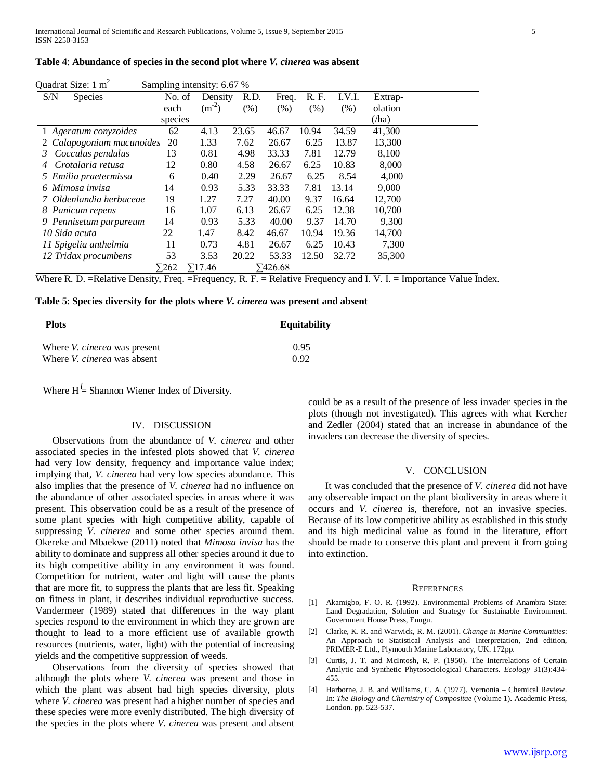#### **Table 4**: **Abundance of species in the second plot where** *V. cinerea* **was absent**

| Quadrat Size: $1 \text{ m}^2$ |              | Sampling intensity: 6.67 % |       |                 |       |        |         |  |
|-------------------------------|--------------|----------------------------|-------|-----------------|-------|--------|---------|--|
| S/N<br><b>Species</b>         | No. of       | Density                    | R.D.  | Freq.           | R. F. | I.V.I. | Extrap- |  |
|                               | each         | $(m^{-2})$                 | (% )  | $(\% )$         | (% )  | (% )   | olation |  |
|                               | species      |                            |       |                 |       |        | (ha)    |  |
| 1 Ageratum conyzoides         | 62           | 4.13                       | 23.65 | 46.67           | 10.94 | 34.59  | 41,300  |  |
| 2 Calapogonium mucunoides     | 20           | 1.33                       | 7.62  | 26.67           | 6.25  | 13.87  | 13,300  |  |
| Cocculus pendulus<br>3.       | 13           | 0.81                       | 4.98  | 33.33           | 7.81  | 12.79  | 8,100   |  |
| Crotalaria retusa             | 12           | 0.80                       | 4.58  | 26.67           | 6.25  | 10.83  | 8,000   |  |
| 5 Emilia praetermissa         | 6            | 0.40                       | 2.29  | 26.67           | 6.25  | 8.54   | 4,000   |  |
| 6 Mimosa invisa               | 14           | 0.93                       | 5.33  | 33.33           | 7.81  | 13.14  | 9,000   |  |
| 7 Oldenlandia herbaceae       | 19           | 1.27                       | 7.27  | 40.00           | 9.37  | 16.64  | 12,700  |  |
| 8 Panicum repens              | 16           | 1.07                       | 6.13  | 26.67           | 6.25  | 12.38  | 10,700  |  |
| 9 Pennisetum purpureum        | 14           | 0.93                       | 5.33  | 40.00           | 9.37  | 14.70  | 9,300   |  |
| 10 Sida acuta                 | 22           | 1.47                       | 8.42  | 46.67           | 10.94 | 19.36  | 14,700  |  |
| 11 Spigelia anthelmia         | 11           | 0.73                       | 4.81  | 26.67           | 6.25  | 10.43  | 7,300   |  |
| 12 Tridax procumbens          | 53           | 3.53                       | 20.22 | 53.33           | 12.50 | 32.72  | 35,300  |  |
|                               | $\Sigma$ 262 | $\Sigma$ 17.46             |       | $\Sigma$ 426.68 |       |        |         |  |

Where R. D. =Relative Density, Freq. =Frequency, R. F. = Relative Frequency and I. V. I. = Importance Value Index.

#### **Table 5**: **Species diversity for the plots where** *V. cinerea* **was present and absent**

| <b>Plots</b>                        | <b>Equitability</b> |  |
|-------------------------------------|---------------------|--|
| Where <i>V. cinerea</i> was present | 0.95                |  |
| Where <i>V. cinerea</i> was absent  | 0.92                |  |

**Where**  $H =$  **Shannon Wiener Index of Diversity.** 

# IV. DISCUSSION

 Observations from the abundance of *V. cinerea* and other associated species in the infested plots showed that *V. cinerea* had very low density, frequency and importance value index; implying that, *V. cinerea* had very low species abundance. This also implies that the presence of *V. cinerea* had no influence on the abundance of other associated species in areas where it was present. This observation could be as a result of the presence of some plant species with high competitive ability, capable of suppressing *V. cinerea* and some other species around them. Okereke and Mbaekwe (2011) noted that *Mimosa invisa* has the ability to dominate and suppress all other species around it due to its high competitive ability in any environment it was found. Competition for nutrient, water and light will cause the plants that are more fit, to suppress the plants that are less fit. Speaking on fitness in plant, it describes individual reproductive success. Vandermeer (1989) stated that differences in the way plant species respond to the environment in which they are grown are thought to lead to a more efficient use of available growth resources (nutrients, water, light) with the potential of increasing yields and the competitive suppression of weeds.

 Observations from the diversity of species showed that although the plots where *V. cinerea* was present and those in which the plant was absent had high species diversity, plots where *V. cinerea* was present had a higher number of species and these species were more evenly distributed. The high diversity of the species in the plots where *V. cinerea* was present and absent could be as a result of the presence of less invader species in the plots (though not investigated). This agrees with what Kercher and Zedler (2004) stated that an increase in abundance of the invaders can decrease the diversity of species.

# V. CONCLUSION

 It was concluded that the presence of *V. cinerea* did not have any observable impact on the plant biodiversity in areas where it occurs and *V. cinerea* is, therefore, not an invasive species. Because of its low competitive ability as established in this study and its high medicinal value as found in the literature, effort should be made to conserve this plant and prevent it from going into extinction.

#### **REFERENCES**

- [1] Akamigbo, F. O. R. (1992). Environmental Problems of Anambra State: Land Degradation, Solution and Strategy for Sustainable Environment. Government House Press, Enugu.
- [2] Clarke, K. R. and Warwick, R. M. (2001). *Change in Marine Communities*: An Approach to Statistical Analysis and Interpretation, 2nd edition, PRIMER-E Ltd., Plymouth Marine Laboratory, UK. 172pp.
- [3] Curtis, J. T. and McIntosh, R. P. (1950). The Interrelations of Certain Analytic and Synthetic Phytosociological Characters. *Ecology* 31(3):434- 455.
- [4] Harborne, J. B. and Williams, C. A. (1977). Vernonia Chemical Review. In: *The Biology and Chemistry of Compositae* (Volume 1). Academic Press, London. pp. 523-537.